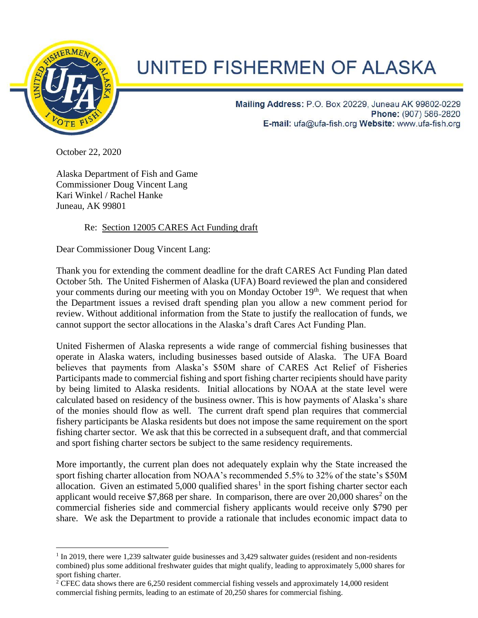

## UNITED FISHERMEN OF ALASKA

Mailing Address: P.O. Box 20229, Juneau AK 99802-0229 Phone: (907) 586-2820 E-mail: ufa@ufa-fish.org Website: www.ufa-fish.org

October 22, 2020

Alaska Department of Fish and Game Commissioner Doug Vincent Lang Kari Winkel / Rachel Hanke Juneau, AK 99801

## Re: Section 12005 CARES Act Funding draft

Dear Commissioner Doug Vincent Lang:

Thank you for extending the comment deadline for the draft CARES Act Funding Plan dated October 5th. The United Fishermen of Alaska (UFA) Board reviewed the plan and considered your comments during our meeting with you on Monday October 19<sup>th</sup>. We request that when the Department issues a revised draft spending plan you allow a new comment period for review. Without additional information from the State to justify the reallocation of funds, we cannot support the sector allocations in the Alaska's draft Cares Act Funding Plan.

United Fishermen of Alaska represents a wide range of commercial fishing businesses that operate in Alaska waters, including businesses based outside of Alaska. The UFA Board believes that payments from Alaska's \$50M share of CARES Act Relief of Fisheries Participants made to commercial fishing and sport fishing charter recipients should have parity by being limited to Alaska residents. Initial allocations by NOAA at the state level were calculated based on residency of the business owner. This is how payments of Alaska's share of the monies should flow as well. The current draft spend plan requires that commercial fishery participants be Alaska residents but does not impose the same requirement on the sport fishing charter sector. We ask that this be corrected in a subsequent draft, and that commercial and sport fishing charter sectors be subject to the same residency requirements.

More importantly, the current plan does not adequately explain why the State increased the sport fishing charter allocation from NOAA's recommended 5.5% to 32% of the state's \$50M allocation. Given an estimated  $5,000$  qualified shares<sup>1</sup> in the sport fishing charter sector each applicant would receive \$7,868 per share. In comparison, there are over 20,000 shares<sup>2</sup> on the commercial fisheries side and commercial fishery applicants would receive only \$790 per share. We ask the Department to provide a rationale that includes economic impact data to

<sup>&</sup>lt;sup>1</sup> In 2019, there were 1,239 saltwater guide businesses and 3,429 saltwater guides (resident and non-residents combined) plus some additional freshwater guides that might qualify, leading to approximately 5,000 shares for sport fishing charter.

<sup>&</sup>lt;sup>2</sup> CFEC data shows there are 6,250 resident commercial fishing vessels and approximately 14,000 resident commercial fishing permits, leading to an estimate of 20,250 shares for commercial fishing.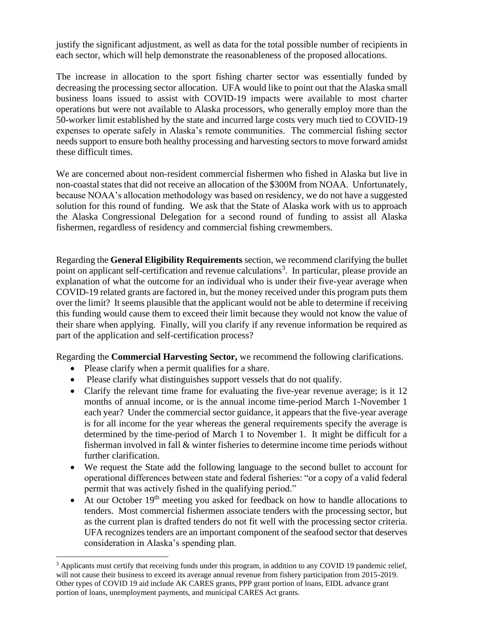justify the significant adjustment, as well as data for the total possible number of recipients in each sector, which will help demonstrate the reasonableness of the proposed allocations.

The increase in allocation to the sport fishing charter sector was essentially funded by decreasing the processing sector allocation. UFA would like to point out that the Alaska small business loans issued to assist with COVID-19 impacts were available to most charter operations but were not available to Alaska processors, who generally employ more than the 50-worker limit established by the state and incurred large costs very much tied to COVID-19 expenses to operate safely in Alaska's remote communities. The commercial fishing sector needs support to ensure both healthy processing and harvesting sectors to move forward amidst these difficult times.

We are concerned about non-resident commercial fishermen who fished in Alaska but live in non-coastal states that did not receive an allocation of the \$300M from NOAA. Unfortunately, because NOAA's allocation methodology was based on residency, we do not have a suggested solution for this round of funding. We ask that the State of Alaska work with us to approach the Alaska Congressional Delegation for a second round of funding to assist all Alaska fishermen, regardless of residency and commercial fishing crewmembers.

Regarding the **General Eligibility Requirements** section, we recommend clarifying the bullet point on applicant self-certification and revenue calculations<sup>3</sup>. In particular, please provide an explanation of what the outcome for an individual who is under their five-year average when COVID-19 related grants are factored in, but the money received under this program puts them over the limit? It seems plausible that the applicant would not be able to determine if receiving this funding would cause them to exceed their limit because they would not know the value of their share when applying. Finally, will you clarify if any revenue information be required as part of the application and self-certification process?

Regarding the **Commercial Harvesting Sector,** we recommend the following clarifications.

- Please clarify when a permit qualifies for a share.
- Please clarify what distinguishes support vessels that do not qualify.
- Clarify the relevant time frame for evaluating the five-year revenue average; is it 12 months of annual income, or is the annual income time-period March 1-November 1 each year? Under the commercial sector guidance, it appears that the five-year average is for all income for the year whereas the general requirements specify the average is determined by the time-period of March 1 to November 1. It might be difficult for a fisherman involved in fall & winter fisheries to determine income time periods without further clarification.
- We request the State add the following language to the second bullet to account for operational differences between state and federal fisheries: "or a copy of a valid federal permit that was actively fished in the qualifying period."
- At our October  $19<sup>th</sup>$  meeting you asked for feedback on how to handle allocations to tenders. Most commercial fishermen associate tenders with the processing sector, but as the current plan is drafted tenders do not fit well with the processing sector criteria. UFA recognizes tenders are an important component of the seafood sector that deserves consideration in Alaska's spending plan.

<sup>&</sup>lt;sup>3</sup> Applicants must certify that receiving funds under this program, in addition to any COVID 19 pandemic relief, will not cause their business to exceed its average annual revenue from fishery participation from 2015-2019. Other types of COVID 19 aid include AK CARES grants, PPP grant portion of loans, EIDL advance grant portion of loans, unemployment payments, and municipal CARES Act grants.